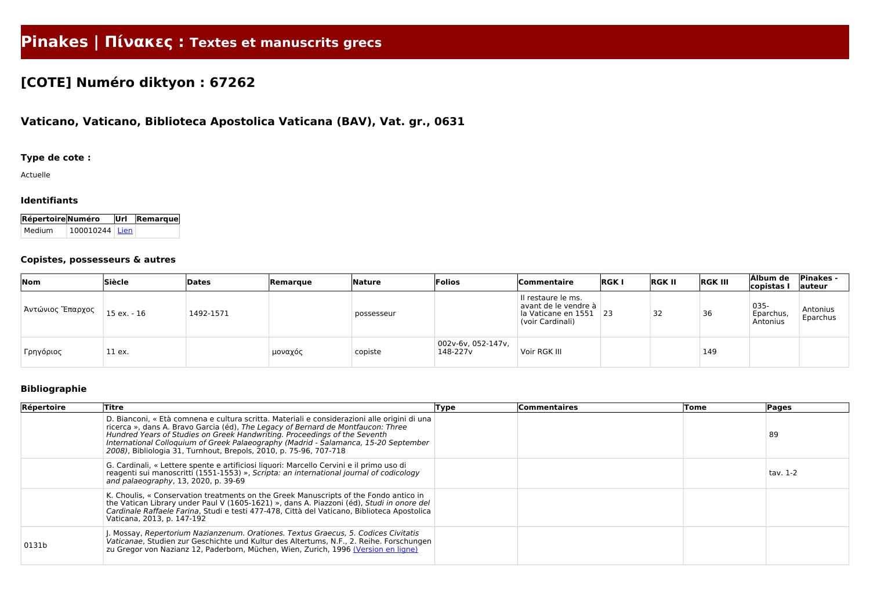# **Pinakes | Πίνακες : Textes et manuscrits grecs**

## **[COTE] Numéro diktyon : 67262**

### **Vaticano, Vaticano, Biblioteca Apostolica Vaticana (BAV), Vat. gr., 0631**

#### **Type de cote :**

Actuelle

#### **Identifiants**

| Répertoire Numéro |                  | Url Remarque |
|-------------------|------------------|--------------|
| Medium            | $100010244$ Lien |              |

#### **Copistes, possesseurs & autres**

| Nom              | Siècle      | Dates     | <b>Remarque</b> | Nature     | Folios                         | Commentaire                                                                           | <b>RGKI</b> | <b>RGK II</b> | <b>RGK III</b> | Álbum de<br>copistas          | <b>Pinakes -</b><br>auteur |
|------------------|-------------|-----------|-----------------|------------|--------------------------------|---------------------------------------------------------------------------------------|-------------|---------------|----------------|-------------------------------|----------------------------|
| Άντώνιος Έπαρχος | 15 ex. - 16 | 1492-1571 |                 | possesseur |                                | II restaure le ms.<br>avant de le vendre à<br>la Vaticane en 1551<br>(voir Cardinali) | $\vert$ 23  | 32            | 36             | 035-<br>Eparchus,<br>Antonius | Antonius<br>Eparchus       |
| Γρηγόριος        | 11 ex.      |           | μοναχός         | copiste    | 002v-6v, 052-147v,<br>148-227v | Voir RGK III                                                                          |             |               | 149            |                               |                            |

#### **Bibliographie**

| Répertoire | <b>Titre</b>                                                                                                                                                                                                                                                                                                                                                                                                              | Type | <b>Commentaires</b> | Tome | <b>Pages</b> |
|------------|---------------------------------------------------------------------------------------------------------------------------------------------------------------------------------------------------------------------------------------------------------------------------------------------------------------------------------------------------------------------------------------------------------------------------|------|---------------------|------|--------------|
|            | D. Bianconi, « Età comnena e cultura scritta. Materiali e considerazioni alle origini di una<br>ricerca », dans A. Bravo Garcia (éd), The Legacy of Bernard de Montfaucon: Three<br>Hundred Years of Studies on Greek Handwriting. Proceedings of the Seventh<br>International Colloquium of Greek Palaeography (Madrid - Salamanca, 15-20 September<br>2008), Bibliologia 31, Turnhout, Brepols, 2010, p. 75-96, 707-718 |      |                     |      | 89           |
|            | G. Cardinali, « Lettere spente e artificiosi liquori: Marcello Cervini e il primo uso di<br>reagenti sui manoscritti (1551-1553) », Scripta: an international journal of codicology<br>and palaeography, 13, 2020, p. 39-69                                                                                                                                                                                               |      |                     |      | tav. 1-2     |
|            | K. Choulis, « Conservation treatments on the Greek Manuscripts of the Fondo antico in<br>the Vatican Library under Paul V (1605-1621) », dans A. Piazzoni (éd), Studi in onore del<br>Cardinale Raffaele Farina, Studi e testi 477-478, Città del Vaticano, Biblioteca Apostolica<br>Vaticana, 2013, p. 147-192                                                                                                           |      |                     |      |              |
| 0131b      | . Mossay, Repertorium Nazianzenum. Orationes. Textus Graecus, 5. Codices Civitatis<br>Vaticanae, Studien zur Geschichte und Kultur des Altertums, N.F., 2. Reihe. Forschungen<br>zu Gregor von Nazianz 12, Paderborn, Müchen, Wien, Zurich, 1996 (Version en ligne)                                                                                                                                                       |      |                     |      |              |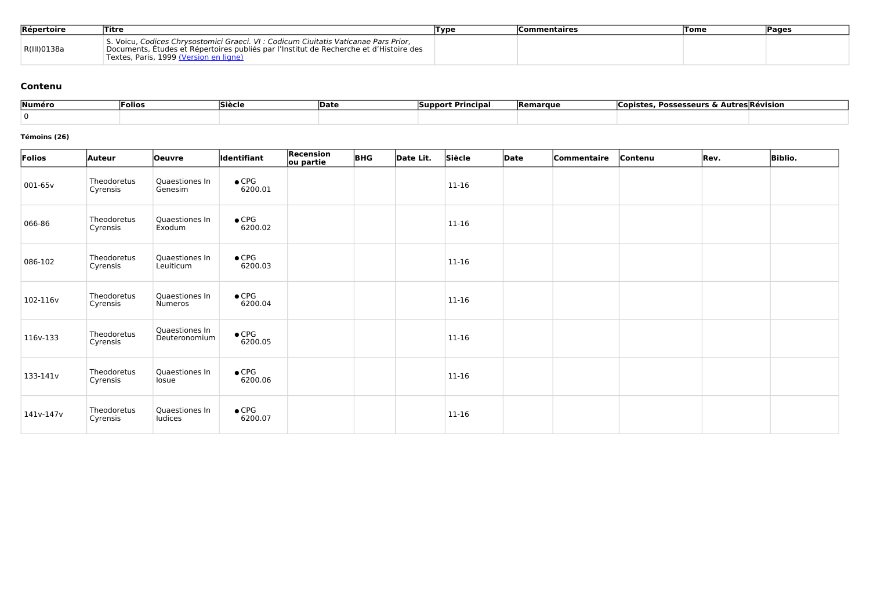| Répertoire  | Titre                                                                                                                                                                                                                 | Type | <b>Commentaires</b> | Tome | Pages |
|-------------|-----------------------------------------------------------------------------------------------------------------------------------------------------------------------------------------------------------------------|------|---------------------|------|-------|
| R(III)0138a | Voicu, Codices Chrysostomici Graeci. VI : Codicum Ciuitatis Vaticanae Pars Prior,<br>Documents, Études et Répertoires publiés par l'Institut de Recherche et d'Histoire des<br>Textes, Paris, 1999 (Version en ligne) |      |                     |      |       |

#### **Contenu**

| Numéro | <b>Siècle</b><br> Folios<br><b>IDate</b> |  | · Principa.<br><b>ISupport</b> | <b>Remarque</b> | Possesseurs & Autres Révision ،<br>Copiste: |  |  |
|--------|------------------------------------------|--|--------------------------------|-----------------|---------------------------------------------|--|--|
|        |                                          |  |                                |                 |                                             |  |  |

#### **Témoins (26)**

| Folios    | <b>Auteur</b>           | <b>Oeuvre</b>                    | Identifiant              | Recension<br>ou partie | <b>BHG</b> | Date Lit. | Siècle    | Date | Commentaire | Contenu | Rev. | <b>Biblio.</b> |
|-----------|-------------------------|----------------------------------|--------------------------|------------------------|------------|-----------|-----------|------|-------------|---------|------|----------------|
| 001-65v   | Theodoretus<br>Cyrensis | Quaestiones In<br>Genesim        | $\bullet$ CPG<br>6200.01 |                        |            |           | $11 - 16$ |      |             |         |      |                |
| 066-86    | Theodoretus<br>Cyrensis | Quaestiones In<br>Exodum         | $\bullet$ CPG<br>6200.02 |                        |            |           | $11 - 16$ |      |             |         |      |                |
| 086-102   | Theodoretus<br>Cyrensis | Quaestiones In<br>Leuiticum      | $\bullet$ CPG<br>6200.03 |                        |            |           | 11-16     |      |             |         |      |                |
| 102-116v  | Theodoretus<br>Cyrensis | Quaestiones In<br>Numeros        | $\bullet$ CPG<br>6200.04 |                        |            |           | $11-16$   |      |             |         |      |                |
| 116v-133  | Theodoretus<br>Cyrensis | Quaestiones In<br>Deuteronomium  | $\bullet$ CPG<br>6200.05 |                        |            |           | 11-16     |      |             |         |      |                |
| 133-141v  | Theodoretus<br>Cyrensis | Quaestiones In<br>losue          | $\bullet$ CPG<br>6200.06 |                        |            |           | 11-16     |      |             |         |      |                |
| 141v-147v | Theodoretus<br>Cyrensis | Quaestiones In<br><b>ludices</b> | $\bullet$ CPG<br>6200.07 |                        |            |           | 11-16     |      |             |         |      |                |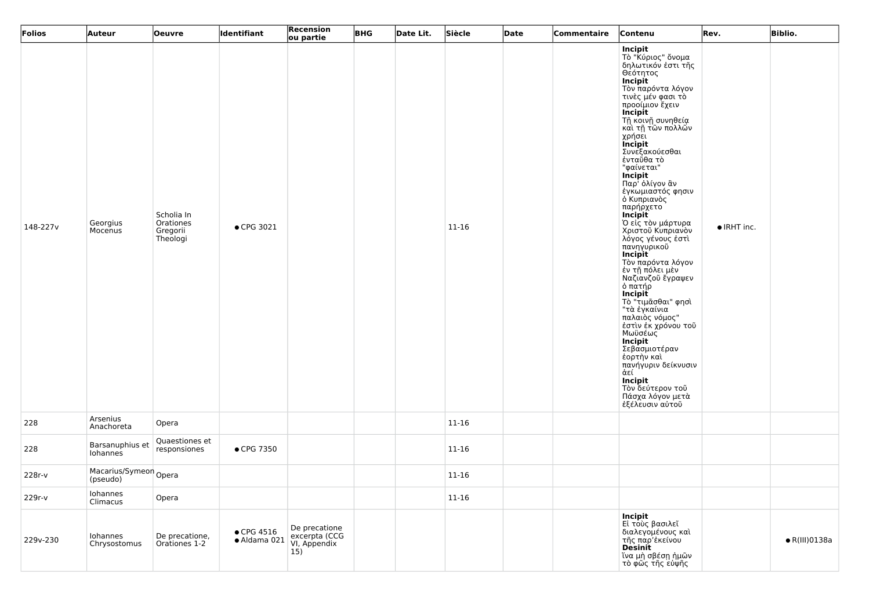| Folios   | <b>Auteur</b>                     | <b>Oeuvre</b>                                   | ldentifiant                        | Recension<br>ou partie                                | <b>BHG</b> | Date Lit. | Siècle    | Date | Commentaire | Contenu                                                                                                                                                                                                                                                                                                                                                                                                                                                                                                                                                                                                                                                                                                                                                                                                                          | Rev.                | <b>Biblio.</b>        |
|----------|-----------------------------------|-------------------------------------------------|------------------------------------|-------------------------------------------------------|------------|-----------|-----------|------|-------------|----------------------------------------------------------------------------------------------------------------------------------------------------------------------------------------------------------------------------------------------------------------------------------------------------------------------------------------------------------------------------------------------------------------------------------------------------------------------------------------------------------------------------------------------------------------------------------------------------------------------------------------------------------------------------------------------------------------------------------------------------------------------------------------------------------------------------------|---------------------|-----------------------|
| 148-227v | Georgius<br>Mocenus               | Scholia In<br>Orationes<br>Gregorii<br>Theologi | • CPG 3021                         |                                                       |            |           | 11-16     |      |             | Incipit<br>Τὸ "Κύριος" ὄνομα<br>δηλωτικόν έστι τῆς<br>Θεότητος<br>  Incipit<br>  Τὸν παρόντα λόγον <br>τινες μέν φασι το<br>προοίμιον έχειν<br>Incipit<br>  Τῆ κοινῆ συνηθεία<br>  καὶ τῆ τῶν πολλῶν<br>χρήσει<br><i>incipit</i><br>Συνεξακούεσθαι<br>ένταΰθα τὸ<br>"φαίνεται"<br><b>Incipit</b><br>Παρ <sup>ι</sup> όλίγον ἂν<br>έγκωμιαστός φησιν<br>ό Κυπριανός<br>παρήρχετο<br>Incipit<br>Ό είς τον μάρτυρα<br>Χριστοῦ Κυπριανὸν<br>λόγος γένους έστι<br>πανηγυρικοῦ<br><b>Incipit</b><br>Τὸν παρόντα λόγον<br>έν τῆ πόλει μὲν<br>Ναζιανζοῦ ἔγραψεν<br>ο πάτήρ<br>  <b>Incipit</b><br>Τὸ "τιμᾶσθαι" φησὶ<br>"τὰ ἐγκαίνια<br>παλαιὸς νόμος"<br>έστιν έκ χρόνου τοῦ<br>Μωϋσέως<br>Incipit<br>Σεβασμιοτέραν<br>έορτην και<br>πανήγυριν δείκνυσιν<br>ἀεί<br>Incipit<br>- Τὸν δεύτερον τοῦ<br>Πάσχα λόγον μετὰ<br>ἐξέλευσιν αὐτοῦ | $\bullet$ IRHT inc. |                       |
| 228      | Arsenius<br>Anachoreta            | Opera                                           |                                    |                                                       |            |           | $11 - 16$ |      |             |                                                                                                                                                                                                                                                                                                                                                                                                                                                                                                                                                                                                                                                                                                                                                                                                                                  |                     |                       |
| 228      | Barsanuphius et<br>Iohannes       | Quaestiones et<br>responsiones                  | • CPG 7350                         |                                                       |            |           | $11 - 16$ |      |             |                                                                                                                                                                                                                                                                                                                                                                                                                                                                                                                                                                                                                                                                                                                                                                                                                                  |                     |                       |
| 228r-v   | Macarius/Symeon Opera<br>(pseudo) |                                                 |                                    |                                                       |            |           | $11 - 16$ |      |             |                                                                                                                                                                                                                                                                                                                                                                                                                                                                                                                                                                                                                                                                                                                                                                                                                                  |                     |                       |
| 229r-v   | Iohannes<br>Climacus              | Opera                                           |                                    |                                                       |            |           | $11 - 16$ |      |             |                                                                                                                                                                                                                                                                                                                                                                                                                                                                                                                                                                                                                                                                                                                                                                                                                                  |                     |                       |
| 229v-230 | Iohannes<br>Chrysostomus          | De precatione,<br>Orationes 1-2                 | $\bullet$ CPG 4516<br>· Aldama 021 | De precatione<br>excerpta (CCG<br>VI, Appendix<br>15) |            |           |           |      |             | Incipit<br>Εί τοὺς βασιλεῖ<br>διαλεγομένους και<br>τῆς παρ'ἐκείνου<br><b>Desinit</b><br>∫ἵνα μὴ σβέσῃ ἡμῶν<br>τὸ φῶς τῆς εὐψῆς                                                                                                                                                                                                                                                                                                                                                                                                                                                                                                                                                                                                                                                                                                   |                     | $\bullet$ R(III)0138a |